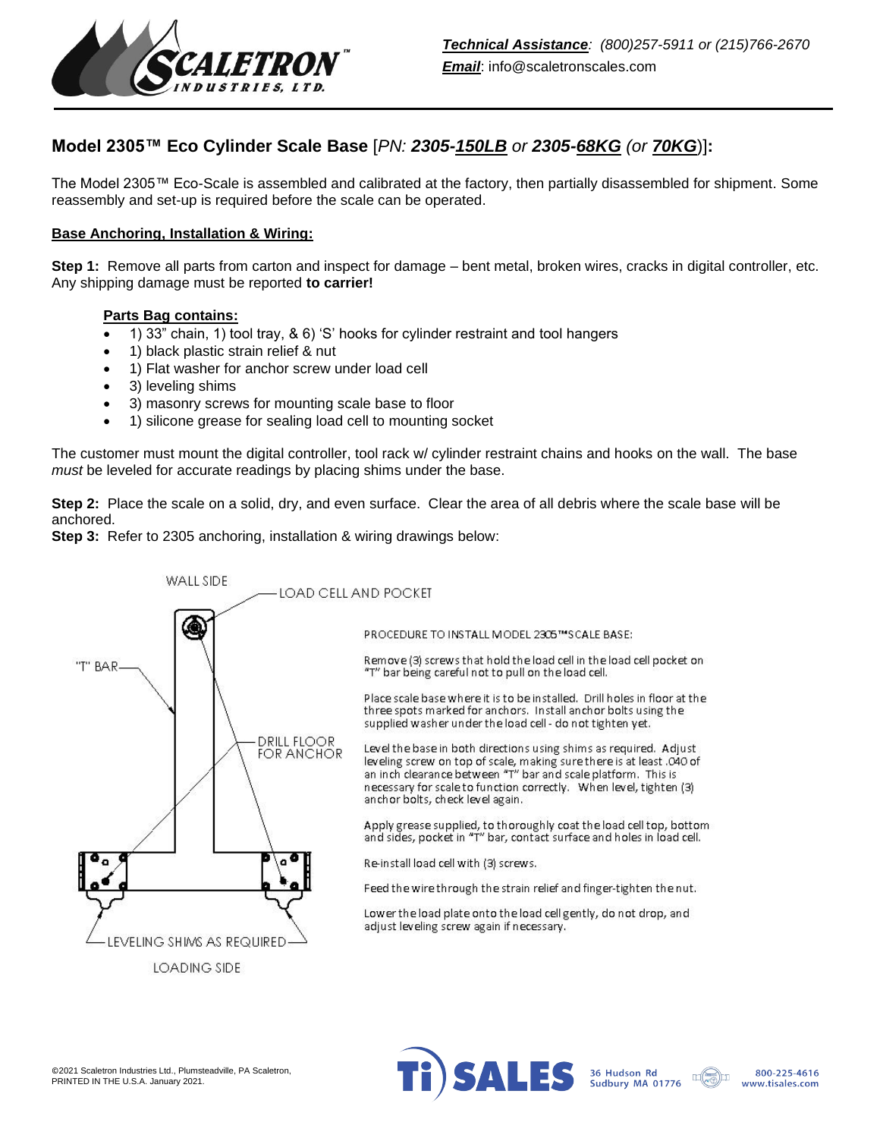

# **Model 2305™ Eco Cylinder Scale Base** [*PN: 2305-150LB or 2305-68KG (or 70KG*)]**:**

The Model 2305™ Eco-Scale is assembled and calibrated at the factory, then partially disassembled for shipment. Some reassembly and set-up is required before the scale can be operated.

### **Base Anchoring, Installation & Wiring:**

**Step 1:** Remove all parts from carton and inspect for damage – bent metal, broken wires, cracks in digital controller, etc. Any shipping damage must be reported **to carrier!**

#### **Parts Bag contains:**

- 1) 33" chain, 1) tool tray, & 6) 'S' hooks for cylinder restraint and tool hangers
- 1) black plastic strain relief & nut
- 1) Flat washer for anchor screw under load cell
- 3) leveling shims
- 3) masonry screws for mounting scale base to floor
- 1) silicone grease for sealing load cell to mounting socket

The customer must mount the digital controller, tool rack w/ cylinder restraint chains and hooks on the wall. The base *must* be leveled for accurate readings by placing shims under the base.

**Step 2:** Place the scale on a solid, dry, and even surface. Clear the area of all debris where the scale base will be anchored.

**Step 3:** Refer to 2305 anchoring, installation & wiring drawings below: